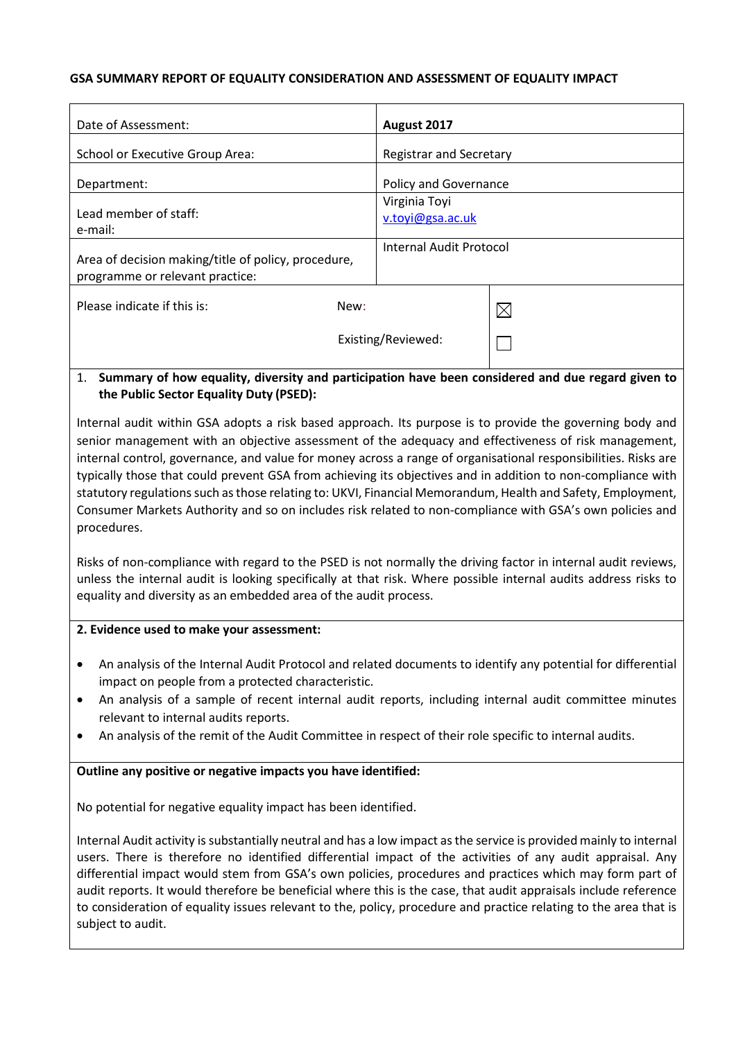### **GSA SUMMARY REPORT OF EQUALITY CONSIDERATION AND ASSESSMENT OF EQUALITY IMPACT**

| Date of Assessment:                                                                    |                    | August 2017                       |             |
|----------------------------------------------------------------------------------------|--------------------|-----------------------------------|-------------|
| School or Executive Group Area:                                                        |                    | Registrar and Secretary           |             |
| Department:                                                                            |                    | <b>Policy and Governance</b>      |             |
| Lead member of staff:<br>e-mail:                                                       |                    | Virginia Toyi<br>v.toyi@gsa.ac.uk |             |
| Area of decision making/title of policy, procedure,<br>programme or relevant practice: |                    | Internal Audit Protocol           |             |
| Please indicate if this is:                                                            | New:               |                                   | $\boxtimes$ |
|                                                                                        | Existing/Reviewed: |                                   |             |

### 1. **Summary of how equality, diversity and participation have been considered and due regard given to the Public Sector Equality Duty (PSED):**

Internal audit within GSA adopts a risk based approach. Its purpose is to provide the governing body and senior management with an objective assessment of the adequacy and effectiveness of risk management, internal control, governance, and value for money across a range of organisational responsibilities. Risks are typically those that could prevent GSA from achieving its objectives and in addition to non-compliance with statutory regulations such asthose relating to: UKVI, Financial Memorandum, Health and Safety, Employment, Consumer Markets Authority and so on includes risk related to non-compliance with GSA's own policies and procedures.

Risks of non-compliance with regard to the PSED is not normally the driving factor in internal audit reviews, unless the internal audit is looking specifically at that risk. Where possible internal audits address risks to equality and diversity as an embedded area of the audit process.

### **2. Evidence used to make your assessment:**

- An analysis of the Internal Audit Protocol and related documents to identify any potential for differential impact on people from a protected characteristic.
- An analysis of a sample of recent internal audit reports, including internal audit committee minutes relevant to internal audits reports.
- An analysis of the remit of the Audit Committee in respect of their role specific to internal audits.

### **Outline any positive or negative impacts you have identified:**

No potential for negative equality impact has been identified.

Internal Audit activity is substantially neutral and has a low impact asthe service is provided mainly to internal users. There is therefore no identified differential impact of the activities of any audit appraisal. Any differential impact would stem from GSA's own policies, procedures and practices which may form part of audit reports. It would therefore be beneficial where this is the case, that audit appraisals include reference to consideration of equality issues relevant to the, policy, procedure and practice relating to the area that is subject to audit.